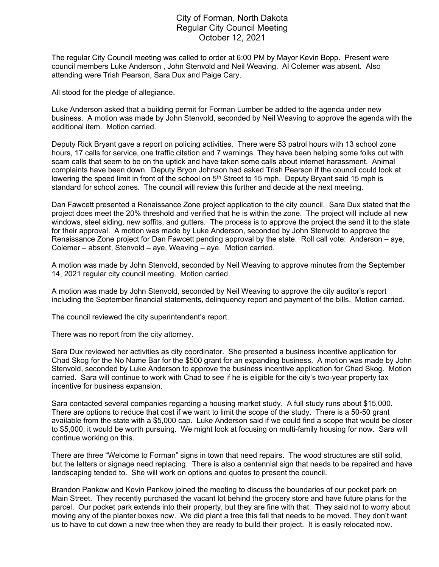## City of Forman, North Dakota Regular City Council Meeting October 12, 2021

The regular City Council meeting was called to order at 6:00 PM by Mayor Kevin Bopp. Present were council members Luke Anderson , John Stenvold and Neil Weaving. Al Colemer was absent. Also attending were Trish Pearson, Sara Dux and Paige Cary.

All stood for the pledge of allegiance.

Luke Anderson asked that a building permit for Forman Lumber be added to the agenda under new business. A motion was made by John Stenvold, seconded by Neil Weaving to approve the agenda with the additional item. Motion carried.

Deputy Rick Bryant gave a report on policing activities. There were 53 patrol hours with 13 school zone hours, 17 calls for service, one traffic citation and 7 warnings. They have been helping some folks out with scam calls that seem to be on the uptick and have taken some calls about internet harassment. Animal complaints have been down. Deputy Bryon Johnson had asked Trish Pearson if the council could look at lowering the speed limit in front of the school on  $5<sup>th</sup>$  Street to 15 mph. Deputy Bryant said 15 mph is standard for school zones. The council will review this further and decide at the next meeting.

Dan Fawcett presented a Renaissance Zone project application to the city council. Sara Dux stated that the project does meet the 20% threshold and verified that he is within the zone. The project will include all new windows, steel siding, new soffits, and gutters. The process is to approve the project the send it to the state for their approval. A motion was made by Luke Anderson, seconded by John Stenvold to approve the Renaissance Zone project for Dan Fawcett pending approval by the state. Roll call vote: Anderson – aye, Colemer – absent, Stenvold – aye, Weaving – aye. Motion carried.

A motion was made by John Stenvold, seconded by Neil Weaving to approve minutes from the September 14, 2021 regular city council meeting. Motion carried.

A motion was made by John Stenvold, seconded by Neil Weaving to approve the city auditor's report including the September financial statements, delinquency report and payment of the bills. Motion carried.

The council reviewed the city superintendent's report.

There was no report from the city attorney.

Sara Dux reviewed her activities as city coordinator. She presented a business incentive application for Chad Skog for the No Name Bar for the \$500 grant for an expanding business. A motion was made by John Stenvold, seconded by Luke Anderson to approve the business incentive application for Chad Skog. Motion carried. Sara will continue to work with Chad to see if he is eligible for the city's two-year property tax incentive for business expansion.

Sara contacted several companies regarding a housing market study. A full study runs about \$15,000. There are options to reduce that cost if we want to limit the scope of the study. There is a 50-50 grant available from the state with a \$5,000 cap. Luke Anderson said if we could find a scope that would be closer to \$5,000, it would be worth pursuing. We might look at focusing on multi-family housing for now. Sara will continue working on this.

There are three "Welcome to Forman" signs in town that need repairs. The wood structures are still solid, but the letters or signage need replacing. There is also a centennial sign that needs to be repaired and have landscaping tended to. She will work on options and quotes to present the council.

Brandon Pankow and Kevin Pankow joined the meeting to discuss the boundaries of our pocket park on Main Street. They recently purchased the vacant lot behind the grocery store and have future plans for the parcel. Our pocket park extends into their property, but they are fine with that. They said not to worry about moving any of the planter boxes now. We did plant a tree this fall that needs to be moved. They don't want us to have to cut down a new tree when they are ready to build their project. It is easily relocated now.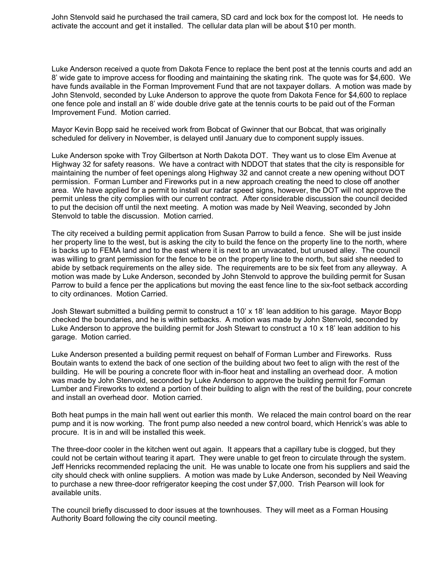John Stenvold said he purchased the trail camera, SD card and lock box for the compost lot. He needs to activate the account and get it installed. The cellular data plan will be about \$10 per month.

Luke Anderson received a quote from Dakota Fence to replace the bent post at the tennis courts and add an 8' wide gate to improve access for flooding and maintaining the skating rink. The quote was for \$4,600. We have funds available in the Forman Improvement Fund that are not taxpayer dollars. A motion was made by John Stenvold, seconded by Luke Anderson to approve the quote from Dakota Fence for \$4,600 to replace one fence pole and install an 8' wide double drive gate at the tennis courts to be paid out of the Forman Improvement Fund. Motion carried.

Mayor Kevin Bopp said he received work from Bobcat of Gwinner that our Bobcat, that was originally scheduled for delivery in November, is delayed until January due to component supply issues.

Luke Anderson spoke with Troy Gilbertson at North Dakota DOT. They want us to close Elm Avenue at Highway 32 for safety reasons. We have a contract with NDDOT that states that the city is responsible for maintaining the number of feet openings along Highway 32 and cannot create a new opening without DOT permission. Forman Lumber and Fireworks put in a new approach creating the need to close off another area. We have applied for a permit to install our radar speed signs, however, the DOT will not approve the permit unless the city complies with our current contract. After considerable discussion the council decided to put the decision off until the next meeting. A motion was made by Neil Weaving, seconded by John Stenvold to table the discussion. Motion carried.

The city received a building permit application from Susan Parrow to build a fence. She will be just inside her property line to the west, but is asking the city to build the fence on the property line to the north, where is backs up to FEMA land and to the east where it is next to an unvacated, but unused alley. The council was willing to grant permission for the fence to be on the property line to the north, but said she needed to abide by setback requirements on the alley side. The requirements are to be six feet from any alleyway. A motion was made by Luke Anderson, seconded by John Stenvold to approve the building permit for Susan Parrow to build a fence per the applications but moving the east fence line to the six-foot setback according to city ordinances. Motion Carried.

Josh Stewart submitted a building permit to construct a 10' x 18' lean addition to his garage. Mayor Bopp checked the boundaries, and he is within setbacks. A motion was made by John Stenvold, seconded by Luke Anderson to approve the building permit for Josh Stewart to construct a 10 x 18' lean addition to his garage. Motion carried.

Luke Anderson presented a building permit request on behalf of Forman Lumber and Fireworks. Russ Boutain wants to extend the back of one section of the building about two feet to align with the rest of the building. He will be pouring a concrete floor with in-floor heat and installing an overhead door. A motion was made by John Stenvold, seconded by Luke Anderson to approve the building permit for Forman Lumber and Fireworks to extend a portion of their building to align with the rest of the building, pour concrete and install an overhead door. Motion carried.

Both heat pumps in the main hall went out earlier this month. We relaced the main control board on the rear pump and it is now working. The front pump also needed a new control board, which Henrick's was able to procure. It is in and will be installed this week.

The three-door cooler in the kitchen went out again. It appears that a capillary tube is clogged, but they could not be certain without tearing it apart. They were unable to get freon to circulate through the system. Jeff Henricks recommended replacing the unit. He was unable to locate one from his suppliers and said the city should check with online suppliers. A motion was made by Luke Anderson, seconded by Neil Weaving to purchase a new three-door refrigerator keeping the cost under \$7,000. Trish Pearson will look for available units.

The council briefly discussed to door issues at the townhouses. They will meet as a Forman Housing Authority Board following the city council meeting.